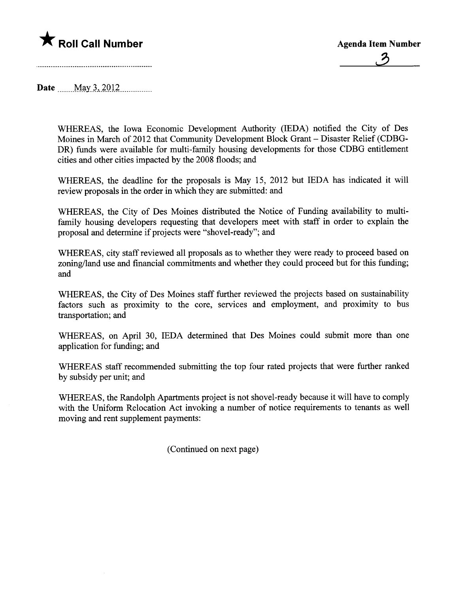

Date May 3, 2012

WHEREAS, the Iowa Economic Development Authority (IEDA) notified the City of Des Moines in March of 2012 that Community Development Block Grant - Disaster Relief (CDBG-DR) funds were available for multi-family housing developments for those CDBG entitlement cities and other cities impacted by the 2008 floods; and

WHEREAS, the deadline for the proposals is May 15, 2012 but IEDA has indicated it wil review proposals in the order in which they are submitted: and

WHEREAS, the City of Des Moines distributed the Notice of Funding availability to multifamily housing developers requesting that developers meet with staff in order to explain the proposal and determine if projects were "shovel-ready"; and

WHEREAS, city staff reviewed all proposals as to whether they were ready to proceed based on zoning/land use and financial commitments and whether they could proceed but for this fuding; and

WHEREAS, the City of Des Moines staff further reviewed the projects based on sustainability factors such as proximity to the core, services and employment, and proximity to bus transportation; and

WHEREAS, on April 30, IEDA determined that Des Moines could submit more than one application for fuding; and

WHEREAS staff recommended submitting the top four rated projects that were further ranked by subsidy per unit; and

WHEREAS, the Randolph Apartments project is not shovel-ready because it will have to comply with the Uniform Relocation Act invoking a number of notice requirements to tenants as well moving and rent supplement payments:

(Continued on next page)